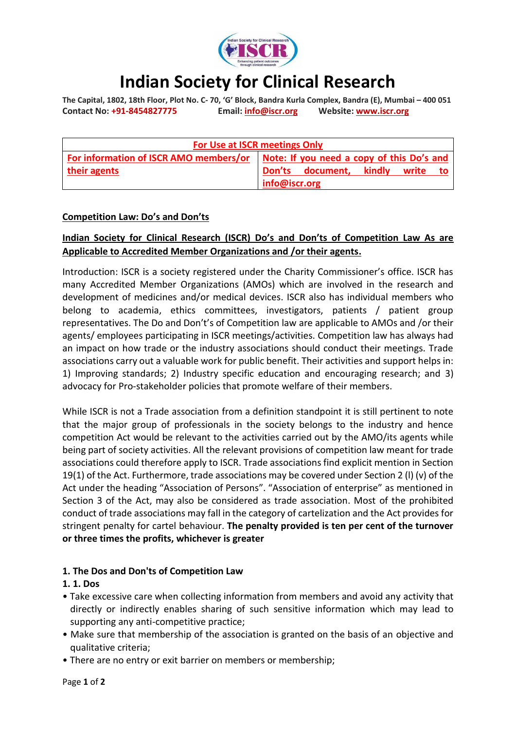

# **Indian Society for Clinical Research**

**The Capital, 1802, 18th Floor, Plot No. C- 70, 'G' Block, Bandra Kurla Complex, Bandra (E), Mumbai – 400 051 Contact No: +91-8454827775 Email: [info@iscr.org](mailto:info@iscr.org) Website:<www.iscr.org>**

| For Use at ISCR meetings Only |                                                                                    |
|-------------------------------|------------------------------------------------------------------------------------|
|                               | For information of ISCR AMO members/or   Note: If you need a copy of this Do's and |
| their agents                  | Don'ts document, kindly write to                                                   |
|                               | info@iscr.org                                                                      |

#### **Competition Law: Do's and Don'ts**

### **Indian Society for Clinical Research (ISCR) Do's and Don'ts of Competition Law As are Applicable to Accredited Member Organizations and /or their agents.**

Introduction: ISCR is a society registered under the Charity Commissioner's office. ISCR has many Accredited Member Organizations (AMOs) which are involved in the research and development of medicines and/or medical devices. ISCR also has individual members who belong to academia, ethics committees, investigators, patients / patient group representatives. The Do and Don't's of Competition law are applicable to AMOs and /or their agents/ employees participating in ISCR meetings/activities. Competition law has always had an impact on how trade or the industry associations should conduct their meetings. Trade associations carry out a valuable work for public benefit. Their activities and support helps in: 1) Improving standards; 2) Industry specific education and encouraging research; and 3) advocacy for Pro-stakeholder policies that promote welfare of their members.

While ISCR is not a Trade association from a definition standpoint it is still pertinent to note that the major group of professionals in the society belongs to the industry and hence competition Act would be relevant to the activities carried out by the AMO/its agents while being part of society activities. All the relevant provisions of competition law meant for trade associations could therefore apply to ISCR. Trade associations find explicit mention in Section 19(1) of the Act. Furthermore, trade associations may be covered under Section 2 (l) (v) of the Act under the heading "Association of Persons". "Association of enterprise" as mentioned in Section 3 of the Act, may also be considered as trade association. Most of the prohibited conduct of trade associations may fall in the category of cartelization and the Act provides for stringent penalty for cartel behaviour. **The penalty provided is ten per cent of the turnover or three times the profits, whichever is greater**

#### **1. The Dos and Don'ts of Competition Law**

#### **1. 1. Dos**

- Take excessive care when collecting information from members and avoid any activity that directly or indirectly enables sharing of such sensitive information which may lead to supporting any anti-competitive practice;
- Make sure that membership of the association is granted on the basis of an objective and qualitative criteria;
- There are no entry or exit barrier on members or membership;